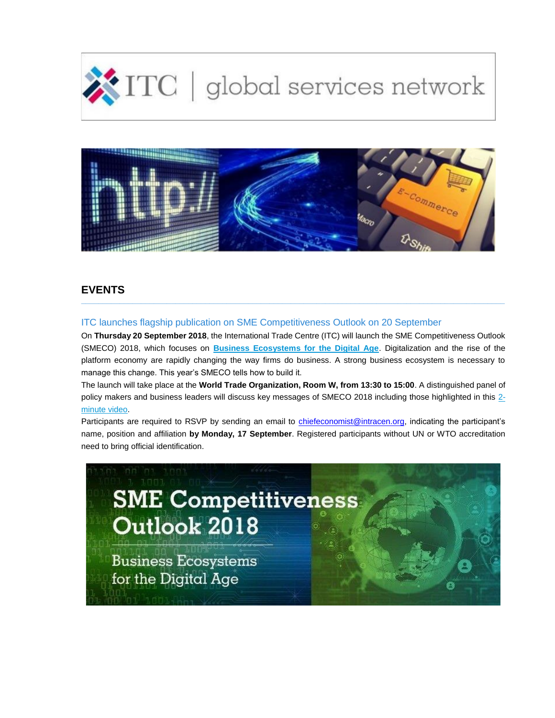



# **EVENTS**

# ITC launches flagship publication on SME Competitiveness Outlook on 20 September

On **Thursday 20 September 2018**, the International Trade Centre (ITC) will launch the SME Competitiveness Outlook (SMECO) 2018, which focuses on **[Business Ecosystems for the Digital Age](http://eye.maillink.intracen.org/c?p=xBAQNnrQ2NCZJ0rQitCWcNDcFdCHDOMyxBBM0M74CF7QoE7Qp9CqeAII6iHQs_jZK2h0dHA6Ly93d3cuaW50cmFjZW4ub3JnL3NtZWNvbXBldGl0aXZlbmVzcy-4NWE3MDNlNDdiODViNTM2YTlmNGJmNjA4xBA_0MMl8gXQiEfQmtCAXwXQmGcfUU-5ZXllLm1haWxsaW5rLmludHJhY2VuLm9yZ8QU0NvQxtCD0KHQghrQsWVo93kM0NdoVmMZ0IkiXw)**. Digitalization and the rise of the platform economy are rapidly changing the way firms do business. A strong business ecosystem is necessary to manage this change. This year's SMECO tells how to build it.

**\_\_\_\_\_\_\_\_\_\_\_\_\_\_\_\_\_\_\_\_\_\_\_\_\_\_\_\_\_\_\_\_\_\_\_\_\_\_\_\_\_\_\_\_\_\_\_\_\_\_\_\_\_\_\_\_\_\_\_\_\_\_\_\_\_\_\_\_\_\_\_\_\_\_\_\_\_\_\_\_\_\_\_\_\_\_\_\_\_\_\_\_\_\_\_\_\_\_\_**

The launch will take place at the **World Trade Organization, Room W, from 13:30 to 15:00**. A distinguished panel of policy makers and business leaders will discuss key messages of SMECO 2018 including those highlighted in this [2](http://eye.maillink.intracen.org/c?p=xBAQNnrQ2NCZJ0rQitCWcNDcFdCHDOMyxBAs0MP10KHQuNClSTLQkRb6UFfQmNCmaNk8aHR0cHM6Ly93d3cueW91dHViZS5jb20vd2F0Y2g_dj02RVZrV0JqcmtrMCZmZWF0dXJlPXlvdXR1LmJluDVhNzAzZTQ3Yjg1YjUzNmE5ZjRiZjYwOMQQP9DDJfIF0IhH0JrQgF8F0JhnH1FPuWV5ZS5tYWlsbGluay5pbnRyYWNlbi5vcmfEFNDb0MbQg9Ch0IIa0LFlaPd5DNDXaFZjGdCJIl8) [minute video.](http://eye.maillink.intracen.org/c?p=xBAQNnrQ2NCZJ0rQitCWcNDcFdCHDOMyxBAs0MP10KHQuNClSTLQkRb6UFfQmNCmaNk8aHR0cHM6Ly93d3cueW91dHViZS5jb20vd2F0Y2g_dj02RVZrV0JqcmtrMCZmZWF0dXJlPXlvdXR1LmJluDVhNzAzZTQ3Yjg1YjUzNmE5ZjRiZjYwOMQQP9DDJfIF0IhH0JrQgF8F0JhnH1FPuWV5ZS5tYWlsbGluay5pbnRyYWNlbi5vcmfEFNDb0MbQg9Ch0IIa0LFlaPd5DNDXaFZjGdCJIl8)

Participants are required to RSVP by sending an email to [chiefeconomist@intracen.org,](mailto:chiefeconomist@intracen.org) indicating the participant's name, position and affiliation **by Monday, 17 September**. Registered participants without UN or WTO accreditation need to bring official identification.

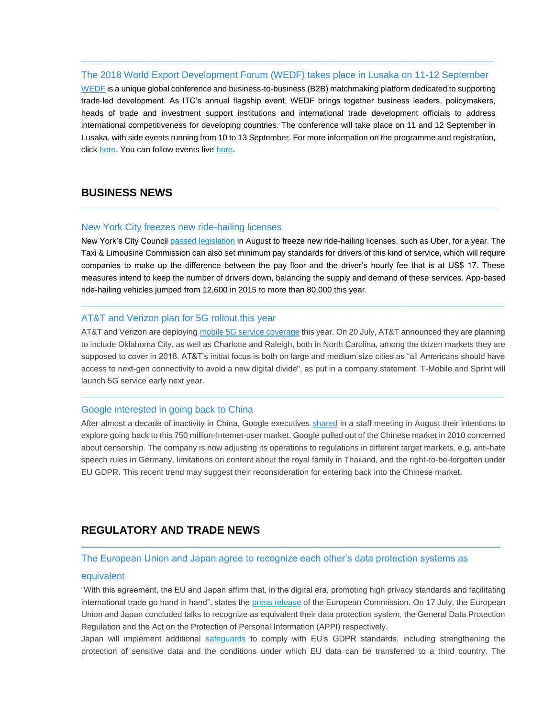## The 2018 World Export Development Forum (WEDF) takes place in Lusaka on 11-12 September

 $\_$  , and the set of the set of the set of the set of the set of the set of the set of the set of the set of the set of the set of the set of the set of the set of the set of the set of the set of the set of the set of th

[WEDF](http://eye.maillink.intracen.org/c?p=xBAQNnrQ2NCZJ0rQitCWcNDcFdCHDOMyxBAn0NxWCtCVeUtB0JnQydDF0NfQgTg279lCaHR0cDovL3d3dy5pbnRyYWNlbi5vcmcvaXRjL2V2ZW50cy93b3JsZC1leHBvcnQtZGV2ZWxvcG1lbnQtZm9ydW0vuDVhNzAzZTQ3Yjg1YjUzNmE5ZjRiZjYwOMQQP9DDJfIF0IhH0JrQgF8F0JhnH1FPuWV5ZS5tYWlsbGluay5pbnRyYWNlbi5vcmfEFNDb0MbQg9Ch0IIa0LFlaPd5DNDXaFZjGdCJIl8) is a unique global conference and business-to-business (B2B) matchmaking platform dedicated to supporting trade-led development. As ITC's annual flagship event, WEDF brings together business leaders, policymakers, heads of trade and investment support institutions and international trade development officials to address international competitiveness for developing countries. The conference will take place on 11 and 12 September in Lusaka, with side events running from 10 to 13 September. For more information on the programme and registration, click [here.](http://eye.maillink.intracen.org/c?p=xBAQNnrQ2NCZJ0rQitCWcNDcFdCHDOMyxBAG0IzQx9CBSyBNCtCQ0N3Qx9CY0KgdTNCp2TJodHRwczovL3d3dy5mYWNlYm9vay5jb20vSW50ZXJuYXRpb25hbFRyYWRlQ2VudHJlL7g1YTcwM2U0N2I4NWI1MzZhOWY0YmY2MDjEED_QwyXyBdCIR9Ca0IBfBdCYZx9RT7lleWUubWFpbGxpbmsuaW50cmFjZW4ub3JnxBTQ29DG0IPQodCCGtCxZWj3eQzQ12hWYxnQiSJf) You can follow events live here.

## **BUSINESS NEWS** \_\_\_\_\_\_\_\_\_\_\_\_\_\_\_\_\_\_\_\_\_\_\_\_\_\_\_\_\_\_\_\_\_\_\_\_\_\_\_\_\_\_\_\_\_\_\_\_\_\_\_\_\_\_\_\_\_\_\_\_\_\_\_\_

#### New York City freezes new ride-hailing licenses

New York's City Council [passed legislation](http://eye.maillink.intracen.org/c?p=xBAQNnrQ2NCZJ0rQitCWcNDcFdCHDOMyxBA-4m4Q0InmRQrQgtCUNtCkYGrQkW7Zb2h0dHBzOi8vd3d3LmJsb29tYmVyZy5jb20vbmV3cy9hcnRpY2xlcy8yMDE4LTA4LTIwL3doeS10ZW5zaW9ucy1iZXR3ZWVuLXViZXItYW5kLWNpdGllcy1wZWFrZWQtaW4tbnljLXF1aWNrdGFrZbg1YTcwM2U0N2I4NWI1MzZhOWY0YmY2MDjEED_QwyXyBdCIR9Ca0IBfBdCYZx9RT7lleWUubWFpbGxpbmsuaW50cmFjZW4ub3JnxBTQ29DG0IPQodCCGtCxZWj3eQzQ12hWYxnQiSJf) in August to freeze new ride-hailing licenses, such as Uber, for a year. The Taxi & Limousine Commission can also set minimum pay standards for drivers of this kind of service, which will require companies to make up the difference between the pay floor and the driver's hourly fee that is at US\$ 17. These measures intend to keep the number of drivers down, balancing the supply and demand of these services. App-based ride-hailing vehicles jumped from 12,600 in 2015 to more than 80,000 this year.

 $\_$  ,  $\_$  ,  $\_$  ,  $\_$  ,  $\_$  ,  $\_$  ,  $\_$  ,  $\_$  ,  $\_$  ,  $\_$  ,  $\_$  ,  $\_$  ,  $\_$  ,  $\_$  ,  $\_$  ,  $\_$  ,  $\_$  ,  $\_$  ,  $\_$  ,  $\_$  ,  $\_$  ,  $\_$  ,  $\_$  ,  $\_$  ,  $\_$  ,  $\_$  ,  $\_$  ,  $\_$  ,  $\_$  ,  $\_$  ,  $\_$  ,  $\_$  ,  $\_$  ,  $\_$  ,  $\_$  ,  $\_$  ,  $\_$  ,

### AT&T and Verizon plan for 5G rollout this year

AT&T and Verizon are deploying [mobile 5G service coverage](http://eye.maillink.intracen.org/c?p=xBAQNnrQ2NCZJ0rQitCWcNDcFdCHDOMyxBBd0KLQlkPQy9DLQR_QpPTgbOhNFvvZUGh0dHBzOi8vd3d3LmNuZXQuY29tL25ld3MvYXQtdC1hZGRzLXRocmVlLW1vcmUtY2l0aWVzLXRvLW1vYmlsZS01Zy1yb2xsb3V0LXBsYW4vuDVhNzAzZTQ3Yjg1YjUzNmE5ZjRiZjYwOMQQP9DDJfIF0IhH0JrQgF8F0JhnH1FPuWV5ZS5tYWlsbGluay5pbnRyYWNlbi5vcmfEFNDb0MbQg9Ch0IIa0LFlaPd5DNDXaFZjGdCJIl8) this year. On 20 July, AT&T announced they are planning to include Oklahoma City, as well as Charlotte and Raleigh, both in North Carolina, among the dozen markets they are supposed to cover in 2018. AT&T's initial focus is both on large and medium size cities as "all Americans should have access to next-gen connectivity to avoid a new digital divide", as put in a company statement. T-Mobile and Sprint will launch 5G service early next year.

 $\_$  ,  $\_$  ,  $\_$  ,  $\_$  ,  $\_$  ,  $\_$  ,  $\_$  ,  $\_$  ,  $\_$  ,  $\_$  ,  $\_$  ,  $\_$  ,  $\_$  ,  $\_$  ,  $\_$  ,  $\_$  ,  $\_$  ,  $\_$  ,  $\_$  ,  $\_$  ,  $\_$  ,  $\_$  ,  $\_$  ,  $\_$  ,  $\_$  ,  $\_$  ,  $\_$  ,  $\_$  ,  $\_$  ,  $\_$  ,  $\_$  ,  $\_$  ,  $\_$  ,  $\_$  ,  $\_$  ,  $\_$  ,  $\_$  ,

### Google interested in going back to China

After almost a decade of inactivity in China, Google executives [shared](http://eye.maillink.intracen.org/c?p=xBAQNnrQ2NCZJ0rQitCWcNDcFdCHDOMyxBDQl_Lv0KrQ2tDFS9CD0I7QlFIsetCPOtC82W1odHRwczovL3d3dy5ibG9vbWJlcmcuY29tL25ld3MvYXJ0aWNsZXMvMjAxOC0wOC0xOC9nb29nbGUtcy1icmluLWNvcHMtdG8tcGxhbi10by1yZWNsYWltLWxvc3QtZGVjYWRlLWluLWNoaW5huDVhNzAzZTQ3Yjg1YjUzNmE5ZjRiZjYwOMQQP9DDJfIF0IhH0JrQgF8F0JhnH1FPuWV5ZS5tYWlsbGluay5pbnRyYWNlbi5vcmfEFNDb0MbQg9Ch0IIa0LFlaPd5DNDXaFZjGdCJIl8) in a staff meeting in August their intentions to explore going back to this 750 million-Internet-user market. Google pulled out of the Chinese market in 2010 concerned about censorship. The company is now adjusting its operations to regulations in different target markets, e.g. anti-hate speech rules in Germany, limitations on content about the royal family in Thailand, and the right-to-be-forgotten under EU GDPR. This recent trend may suggest their reconsideration for entering back into the Chinese market.

# **REGULATORY AND TRADE NEWS** \_\_\_\_\_\_\_\_\_\_\_\_\_\_\_\_\_\_\_\_\_\_\_\_\_\_\_\_\_\_\_\_\_\_\_\_\_\_\_\_\_\_\_\_\_\_\_\_\_\_\_\_\_\_\_\_\_\_\_\_\_\_\_\_

## The European Union and Japan agree to recognize each other's data protection systems as

#### equivalent

"With this agreement, the EU and Japan affirm that, in the digital era, promoting high privacy standards and facilitating international trade go hand in hand", states the [press release](http://eye.maillink.intracen.org/c?p=xBAQNnrQ2NCZJ0rQitCWcNDcFdCHDOMyxBDQvn4d9NDJ0KxLJtCP8DEhFtCI7NCD2TZodHRwOi8vZXVyb3BhLmV1L3JhcGlkL3ByZXNzLXJlbGVhc2VfSVAtMTgtNDUwMV9lbi5odG24NWE3MDNlNDdiODViNTM2YTlmNGJmNjA4xBA_0MMl8gXQiEfQmtCAXwXQmGcfUU-5ZXllLm1haWxsaW5rLmludHJhY2VuLm9yZ8QU0NvQxtCD0KHQghrQsWVo93kM0NdoVmMZ0IkiXw) of the European Commission. On 17 July, the European Union and Japan concluded talks to recognize as equivalent their data protection system, the General Data Protection Regulation and the Act on the Protection of Personal Information (APPI) respectively.

Japan will implement additional [safeguards](http://eye.maillink.intracen.org/c?p=xBAQNnrQ2NCZJ0rQitCWcNDcFdCHDOMyxBDhHfF80MXQzUHQ1dCSX0cNbeZjSNlCaHR0cHM6Ly9nbG9iYWxjb21wbGlhbmNlbmV3cy5jb20vamFwYW4tZXUtZGF0YS10cmFuc2ZlcnMtMjAxODA0MDkvuDVhNzAzZTQ3Yjg1YjUzNmE5ZjRiZjYwOMQQP9DDJfIF0IhH0JrQgF8F0JhnH1FPuWV5ZS5tYWlsbGluay5pbnRyYWNlbi5vcmfEFNDb0MbQg9Ch0IIa0LFlaPd5DNDXaFZjGdCJIl8) to comply with EU's GDPR standards, including strengthening the protection of sensitive data and the conditions under which EU data can be transferred to a third country. The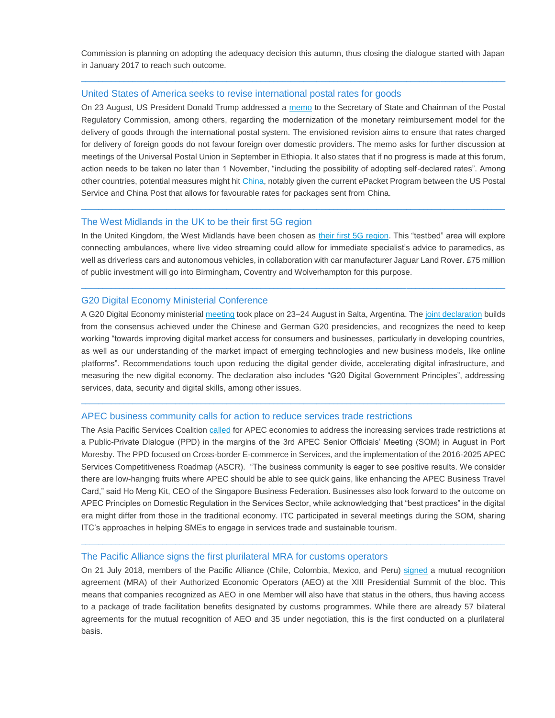Commission is planning on adopting the adequacy decision this autumn, thus closing the dialogue started with Japan in January 2017 to reach such outcome.

 $\_$  ,  $\_$  ,  $\_$  ,  $\_$  ,  $\_$  ,  $\_$  ,  $\_$  ,  $\_$  ,  $\_$  ,  $\_$  ,  $\_$  ,  $\_$  ,  $\_$  ,  $\_$  ,  $\_$  ,  $\_$  ,  $\_$  ,  $\_$  ,  $\_$  ,  $\_$  ,  $\_$  ,  $\_$  ,  $\_$  ,  $\_$  ,  $\_$  ,  $\_$  ,  $\_$  ,  $\_$  ,  $\_$  ,  $\_$  ,  $\_$  ,  $\_$  ,  $\_$  ,  $\_$  ,  $\_$  ,  $\_$  ,  $\_$  ,

### United States of America seeks to revise international postal rates for goods

On 23 August, US President Donald Trump addressed a [memo](http://eye.maillink.intracen.org/c?p=xBAQNnrQ2NCZJ0rQitCWcNDcFdCHDOMyxBDQykdRCQ_QqEjQ3dCvTU_x0LjQi9CTK9nAaHR0cHM6Ly93d3cud2hpdGVob3VzZS5nb3YvcHJlc2lkZW50aWFsLWFjdGlvbnMvcHJlc2lkZW50aWFsLW1lbW9yYW5kdW0tc2VjcmV0YXJ5LXN0YXRlLXNlY3JldGFyeS10cmVhc3VyeS1zZWNyZXRhcnktaG9tZWxhbmQtc2VjdXJpdHktcG9zdG1hc3Rlci1nZW5lcmFsLWNoYWlybWFuLXBvc3RhbC1yZWd1bGF0b3J5LWNvbW1pc3Npb24vuDVhNzAzZTQ3Yjg1YjUzNmE5ZjRiZjYwOMQQP9DDJfIF0IhH0JrQgF8F0JhnH1FPuWV5ZS5tYWlsbGluay5pbnRyYWNlbi5vcmfEFNDb0MbQg9Ch0IIa0LFlaPd5DNDXaFZjGdCJIl8) to the Secretary of State and Chairman of the Postal Regulatory Commission, among others, regarding the modernization of the monetary reimbursement model for the delivery of goods through the international postal system. The envisioned revision aims to ensure that rates charged for delivery of foreign goods do not favour foreign over domestic providers. The memo asks for further discussion at meetings of the Universal Postal Union in September in Ethiopia. It also states that if no progress is made at this forum, action needs to be taken no later than 1 November, "including the possibility of adopting self-declared rates". Among other countries, potential measures might hit [China,](http://eye.maillink.intracen.org/c?p=xBAQNnrQ2NCZJ0rQitCWcNDcFdCHDOMyxBDQl_3QseA10K1EU9C0WAzQzRUw0IjQwNlyaHR0cHM6Ly93d3cuYmxvb21iZXJnLmNvbS9uZXdzL2FydGljbGVzLzIwMTgtMDgtMjQvdHJ1bXAtdGFrZXMtYWltLWF0LWNoaW5hLXF1ZXN0aW9uaW5nLWludGVybmF0aW9uYWwtcG9zdGFsLXJhdGVzuDVhNzAzZTQ3Yjg1YjUzNmE5ZjRiZjYwOMQQP9DDJfIF0IhH0JrQgF8F0JhnH1FPuWV5ZS5tYWlsbGluay5pbnRyYWNlbi5vcmfEFNDb0MbQg9Ch0IIa0LFlaPd5DNDXaFZjGdCJIl8) notably given the current ePacket Program between the US Postal Service and China Post that allows for favourable rates for packages sent from China.

### The West Midlands in the UK to be their first 5G region

In the United Kingdom, the West Midlands have been chosen as [their first 5G region.](http://eye.maillink.intracen.org/c?p=xBAQNnrQ2NCZJ0rQitCWcNDcFdCHDOMyxBBpFkQPE9CISi_QhzrQpFEoCTHQsdk3aHR0cHM6Ly93d3cuYmJjLmNvbS9uZXdzL3VrLWVuZ2xhbmQtYmlybWluZ2hhbS00NTQwNjYwN7g1YTcwM2U0N2I4NWI1MzZhOWY0YmY2MDjEED_QwyXyBdCIR9Ca0IBfBdCYZx9RT7lleWUubWFpbGxpbmsuaW50cmFjZW4ub3JnxBTQ29DG0IPQodCCGtCxZWj3eQzQ12hWYxnQiSJf) This "testbed" area will explore connecting ambulances, where live video streaming could allow for immediate specialist's advice to paramedics, as well as driverless cars and autonomous vehicles, in collaboration with car manufacturer Jaguar Land Rover. £75 million of public investment will go into Birmingham, Coventry and Wolverhampton for this purpose.

 $\_$  ,  $\_$  ,  $\_$  ,  $\_$  ,  $\_$  ,  $\_$  ,  $\_$  ,  $\_$  ,  $\_$  ,  $\_$  ,  $\_$  ,  $\_$  ,  $\_$  ,  $\_$  ,  $\_$  ,  $\_$  ,  $\_$  ,  $\_$  ,  $\_$  ,  $\_$  ,  $\_$  ,  $\_$  ,  $\_$  ,  $\_$  ,  $\_$  ,  $\_$  ,  $\_$  ,  $\_$  ,  $\_$  ,  $\_$  ,  $\_$  ,  $\_$  ,  $\_$  ,  $\_$  ,  $\_$  ,  $\_$  ,  $\_$  ,

 $\_$  ,  $\_$  ,  $\_$  ,  $\_$  ,  $\_$  ,  $\_$  ,  $\_$  ,  $\_$  ,  $\_$  ,  $\_$  ,  $\_$  ,  $\_$  ,  $\_$  ,  $\_$  ,  $\_$  ,  $\_$  ,  $\_$  ,  $\_$  ,  $\_$  ,  $\_$  ,  $\_$  ,  $\_$  ,  $\_$  ,  $\_$  ,  $\_$  ,  $\_$  ,  $\_$  ,  $\_$  ,  $\_$  ,  $\_$  ,  $\_$  ,  $\_$  ,  $\_$  ,  $\_$  ,  $\_$  ,  $\_$  ,  $\_$  ,

### G20 Digital Economy Ministerial Conference

A G20 Digital Economy ministerial [meeting](http://eye.maillink.intracen.org/c?p=xBAQNnrQ2NCZJ0rQitCWcNDcFdCHDOMyxBBG0J570N0p0J1MVdCLMdCo0NUePdC_0MPZVmh0dHBzOi8vd3d3LmcyMC5vcmcvZW4vbmV3cy9nMjAtY29uZmlybXMtaW1wb3J0YW5jZS1kaWdpdGFsLWVjb25vbXktZ2xvYmFsLWRldmVsb3BtZW50uDVhNzAzZTQ3Yjg1YjUzNmE5ZjRiZjYwOMQQP9DDJfIF0IhH0JrQgF8F0JhnH1FPuWV5ZS5tYWlsbGluay5pbnRyYWNlbi5vcmfEFNDb0MbQg9Ch0IIa0LFlaPd5DNDXaFZjGdCJIl8) took place on 23–24 August in Salta, Argentina. The [joint declaration](http://eye.maillink.intracen.org/c?p=xBAQNnrQ2NCZJ0rQitCWcNDcFdCHDOMyxBBv0KJDPyRhTdC00JgT0JM_0MfuZtCw2VRodHRwczovL2cyMC5vcmcvc2l0ZXMvZGVmYXVsdC9maWxlcy9tZWRpYS9nMjBfZGV0Zl9taW5pc3RlcmlhbF9kZWNsYXJhdGlvbl9zYWx0YS5wZGa4NWE3MDNlNDdiODViNTM2YTlmNGJmNjA4xBA_0MMl8gXQiEfQmtCAXwXQmGcfUU-5ZXllLm1haWxsaW5rLmludHJhY2VuLm9yZ8QU0NvQxtCD0KHQghrQsWVo93kM0NdoVmMZ0IkiXw) builds from the consensus achieved under the Chinese and German G20 presidencies, and recognizes the need to keep working "towards improving digital market access for consumers and businesses, particularly in developing countries, as well as our understanding of the market impact of emerging technologies and new business models, like online platforms". Recommendations touch upon reducing the digital gender divide, accelerating digital infrastructure, and measuring the new digital economy. The declaration also includes "G20 Digital Government Principles", addressing services, data, security and digital skills, among other issues.

 $\_$  ,  $\_$  ,  $\_$  ,  $\_$  ,  $\_$  ,  $\_$  ,  $\_$  ,  $\_$  ,  $\_$  ,  $\_$  ,  $\_$  ,  $\_$  ,  $\_$  ,  $\_$  ,  $\_$  ,  $\_$  ,  $\_$  ,  $\_$  ,  $\_$  ,  $\_$  ,  $\_$  ,  $\_$  ,  $\_$  ,  $\_$  ,  $\_$  ,  $\_$  ,  $\_$  ,  $\_$  ,  $\_$  ,  $\_$  ,  $\_$  ,  $\_$  ,  $\_$  ,  $\_$  ,  $\_$  ,  $\_$  ,  $\_$  ,

#### APEC business community calls for action to reduce services trade restrictions

The Asia Pacific Services Coalition [called](http://eye.maillink.intracen.org/c?p=xBAQNnrQ2NCZJ0rQitCWcNDcFdCHDOMyxBDQpzQF0KvQqGhK0IXQrF3Qi245ANDKJ9mAaHR0cDovL2F1c3RyYWxpYW5zZXJ2aWNlc3JvdW5kdGFibGUuY29tLmF1L21lZGlhLXJlbGVhc2VzL21vcmUtdXJnZW50LWFjdGlvbi1uZWVkZWQtdG8taW1wcm92ZS1zZXJ2aWNlcy1jb21wZXRpdGl2ZW5lc3MtaW4tYXBlYy-4NWE3MDNlNDdiODViNTM2YTlmNGJmNjA4xBA_0MMl8gXQiEfQmtCAXwXQmGcfUU-5ZXllLm1haWxsaW5rLmludHJhY2VuLm9yZ8QU0NvQxtCD0KHQghrQsWVo93kM0NdoVmMZ0IkiXw) for APEC economies to address the increasing services trade restrictions at a Public-Private Dialogue (PPD) in the margins of the 3rd APEC Senior Officials' Meeting (SOM) in August in Port Moresby. The PPD focused on Cross-border E-commerce in Services, and the implementation of the 2016-2025 APEC Services Competitiveness Roadmap (ASCR). "The business community is eager to see positive results. We consider there are low-hanging fruits where APEC should be able to see quick gains, like enhancing the APEC Business Travel Card," said Ho Meng Kit, CEO of the Singapore Business Federation. Businesses also look forward to the outcome on APEC Principles on Domestic Regulation in the Services Sector, while acknowledging that "best practices" in the digital era might differ from those in the traditional economy. ITC participated in several meetings during the SOM, sharing ITC's approaches in helping SMEs to engage in services trade and sustainable tourism.

#### The Pacific Alliance signs the first plurilateral MRA for customs operators

On 21 July 2018, members of the Pacific Alliance (Chile, Colombia, Mexico, and Peru) [signed](http://eye.maillink.intracen.org/c?p=xBAQNnrQ2NCZJ0rQitCWcNDcFdCHDOMyxBBZRhnh0IcGQFXQmmvQmmsTS9CtItl_aHR0cHM6Ly9nZXN0aW9uLnBlL2Vjb25vbWlhL3BhaXNlcy1hbGlhbnphLXBhY2lmaWNvLXN1c2NyaWJlbi1hY3VlcmRvLXJlY29ub2NpbWllbnRvLW11dHVvLW9wZXJhZG9yLWVjb25vbWljby1hdXRvcml6YWRvLTIzOTMwObg1YTcwM2U0N2I4NWI1MzZhOWY0YmY2MDjEED_QwyXyBdCIR9Ca0IBfBdCYZx9RT7lleWUubWFpbGxpbmsuaW50cmFjZW4ub3JnxBTQ29DG0IPQodCCGtCxZWj3eQzQ12hWYxnQiSJf) a mutual recognition agreement (MRA) of their Authorized Economic Operators (AEO) at the XIII Presidential Summit of the bloc. This means that companies recognized as AEO in one Member will also have that status in the others, thus having access to a package of trade facilitation benefits designated by customs programmes. While there are already 57 bilateral agreements for the mutual recognition of AEO and 35 under negotiation, this is the first conducted on a plurilateral basis.

 $\_$  ,  $\_$  ,  $\_$  ,  $\_$  ,  $\_$  ,  $\_$  ,  $\_$  ,  $\_$  ,  $\_$  ,  $\_$  ,  $\_$  ,  $\_$  ,  $\_$  ,  $\_$  ,  $\_$  ,  $\_$  ,  $\_$  ,  $\_$  ,  $\_$  ,  $\_$  ,  $\_$  ,  $\_$  ,  $\_$  ,  $\_$  ,  $\_$  ,  $\_$  ,  $\_$  ,  $\_$  ,  $\_$  ,  $\_$  ,  $\_$  ,  $\_$  ,  $\_$  ,  $\_$  ,  $\_$  ,  $\_$  ,  $\_$  ,